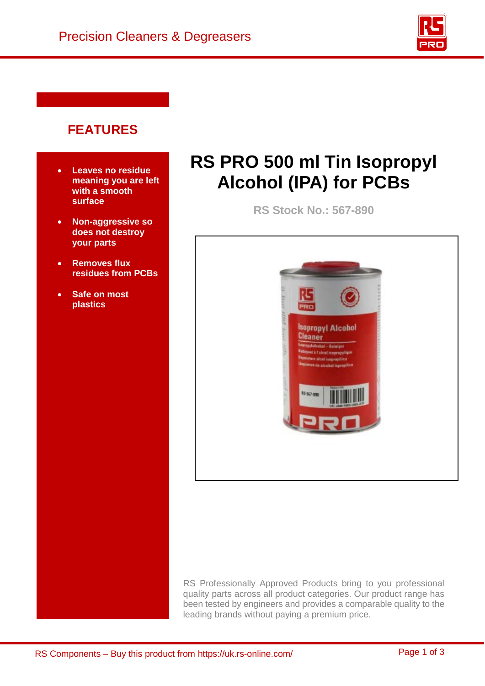

## **FEATURES**

- **Leaves no residue meaning you are left with a smooth surface**
- **Non-aggressive so does not destroy your parts**
- **Removes flux residues from PCBs**
- **Safe on most plastics**

# **RS PRO 500 ml Tin Isopropyl Alcohol (IPA) for PCBs**

**RS Stock No.: 567-890** 



RS Professionally Approved Products bring to you professional quality parts across all product categories. Our product range has been tested by engineers and provides a comparable quality to the leading brands without paying a premium price.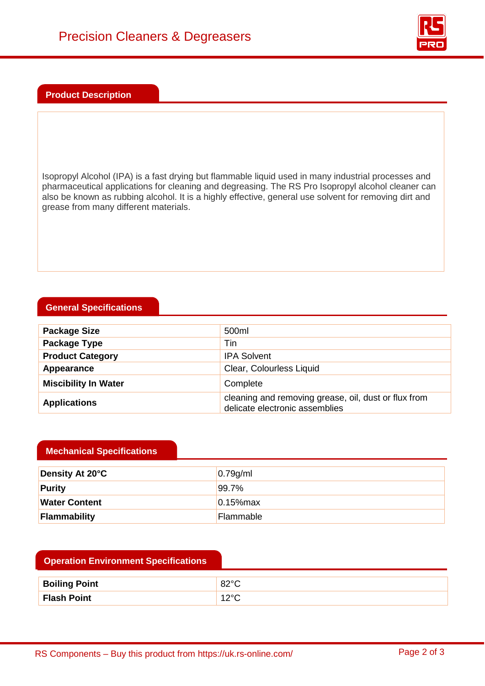

#### **Product Description**

Isopropyl Alcohol (IPA) is a fast drying but flammable liquid used in many industrial processes and pharmaceutical applications for cleaning and degreasing. The RS Pro Isopropyl alcohol cleaner can also be known as rubbing alcohol. It is a highly effective, general use solvent for removing dirt and grease from many different materials.

#### **General Specifications**

| <b>Package Size</b>         | 500ml                                                                                  |
|-----------------------------|----------------------------------------------------------------------------------------|
| Package Type                | Tin                                                                                    |
| <b>Product Category</b>     | <b>IPA Solvent</b>                                                                     |
| Appearance                  | Clear, Colourless Liquid                                                               |
| <b>Miscibility In Water</b> | Complete                                                                               |
| <b>Applications</b>         | cleaning and removing grease, oil, dust or flux from<br>delicate electronic assemblies |

#### **Mechanical Specifications**

| Density At 20°C      | 0.79g/ml         |
|----------------------|------------------|
| Purity               | $ 99.7\% $       |
| <b>Water Content</b> | $10.15%$ max     |
| Flammability         | <b>Flammable</b> |

| <b>Boiling Point</b> | ററാറ<br>∵ ےت |
|----------------------|--------------|
| <b>Flash Point</b>   | nor<br>∼     |